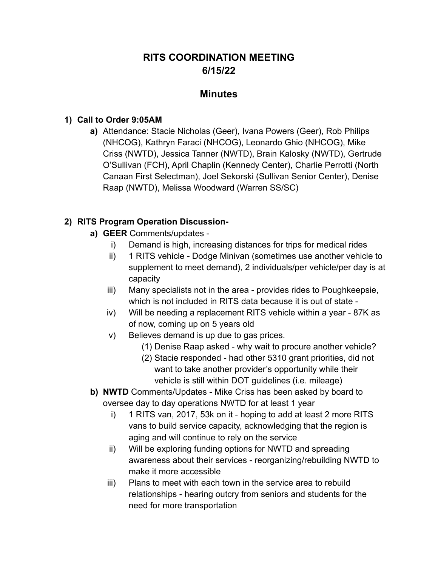# **RITS COORDINATION MEETING 6/15/22**

### **Minutes**

#### **1) Call to Order 9:05AM**

**a)** Attendance: Stacie Nicholas (Geer), Ivana Powers (Geer), Rob Philips (NHCOG), Kathryn Faraci (NHCOG), Leonardo Ghio (NHCOG), Mike Criss (NWTD), Jessica Tanner (NWTD), Brain Kalosky (NWTD), Gertrude O'Sullivan (FCH), April Chaplin (Kennedy Center), Charlie Perrotti (North Canaan First Selectman), Joel Sekorski (Sullivan Senior Center), Denise Raap (NWTD), Melissa Woodward (Warren SS/SC)

### **2) RITS Program Operation Discussion-**

- **a) GEER** Comments/updates
	- i) Demand is high, increasing distances for trips for medical rides
	- ii) 1 RITS vehicle Dodge Minivan (sometimes use another vehicle to supplement to meet demand), 2 individuals/per vehicle/per day is at capacity
	- iii) Many specialists not in the area provides rides to Poughkeepsie, which is not included in RITS data because it is out of state -
	- iv) Will be needing a replacement RITS vehicle within a year 87K as of now, coming up on 5 years old
	- v) Believes demand is up due to gas prices.
		- (1) Denise Raap asked why wait to procure another vehicle?
		- (2) Stacie responded had other 5310 grant priorities, did not want to take another provider's opportunity while their vehicle is still within DOT guidelines (i.e. mileage)
- **b) NWTD** Comments/Updates Mike Criss has been asked by board to oversee day to day operations NWTD for at least 1 year
	- i) 1 RITS van, 2017, 53k on it hoping to add at least 2 more RITS vans to build service capacity, acknowledging that the region is aging and will continue to rely on the service
	- ii) Will be exploring funding options for NWTD and spreading awareness about their services - reorganizing/rebuilding NWTD to make it more accessible
	- iii) Plans to meet with each town in the service area to rebuild relationships - hearing outcry from seniors and students for the need for more transportation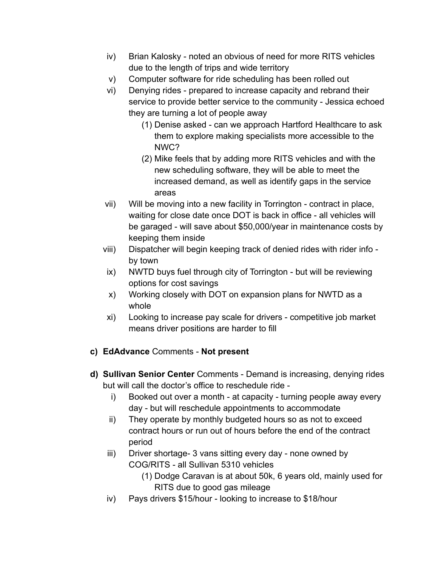- iv) Brian Kalosky noted an obvious of need for more RITS vehicles due to the length of trips and wide territory
- v) Computer software for ride scheduling has been rolled out
- vi) Denying rides prepared to increase capacity and rebrand their service to provide better service to the community - Jessica echoed they are turning a lot of people away
	- (1) Denise asked can we approach Hartford Healthcare to ask them to explore making specialists more accessible to the NWC?
	- (2) Mike feels that by adding more RITS vehicles and with the new scheduling software, they will be able to meet the increased demand, as well as identify gaps in the service areas
- vii) Will be moving into a new facility in Torrington contract in place, waiting for close date once DOT is back in office - all vehicles will be garaged - will save about \$50,000/year in maintenance costs by keeping them inside
- viii) Dispatcher will begin keeping track of denied rides with rider info by town
- ix) NWTD buys fuel through city of Torrington but will be reviewing options for cost savings
- x) Working closely with DOT on expansion plans for NWTD as a whole
- xi) Looking to increase pay scale for drivers competitive job market means driver positions are harder to fill
- **c) EdAdvance** Comments **Not present**
- **d) Sullivan Senior Center** Comments Demand is increasing, denying rides but will call the doctor's office to reschedule ride
	- i) Booked out over a month at capacity turning people away every day - but will reschedule appointments to accommodate
	- ii) They operate by monthly budgeted hours so as not to exceed contract hours or run out of hours before the end of the contract period
	- iii) Driver shortage- 3 vans sitting every day none owned by COG/RITS - all Sullivan 5310 vehicles
		- (1) Dodge Caravan is at about 50k, 6 years old, mainly used for RITS due to good gas mileage
	- iv) Pays drivers \$15/hour looking to increase to \$18/hour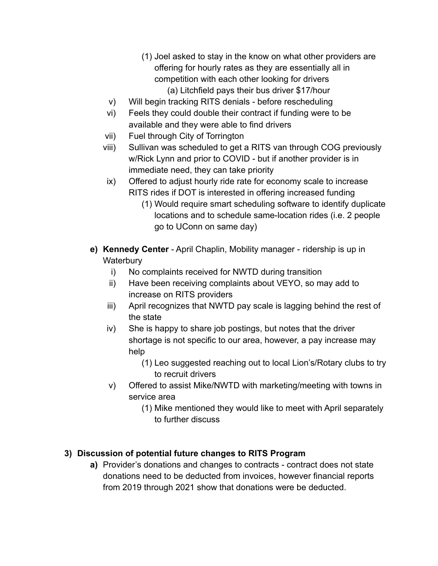- (1) Joel asked to stay in the know on what other providers are offering for hourly rates as they are essentially all in competition with each other looking for drivers (a) Litchfield pays their bus driver \$17/hour
- v) Will begin tracking RITS denials before rescheduling
- vi) Feels they could double their contract if funding were to be available and they were able to find drivers
- vii) Fuel through City of Torrington
- viii) Sullivan was scheduled to get a RITS van through COG previously w/Rick Lynn and prior to COVID - but if another provider is in immediate need, they can take priority
- ix) Offered to adjust hourly ride rate for economy scale to increase RITS rides if DOT is interested in offering increased funding
	- (1) Would require smart scheduling software to identify duplicate locations and to schedule same-location rides (i.e. 2 people go to UConn on same day)
- **e) Kennedy Center** April Chaplin, Mobility manager ridership is up in **Waterbury** 
	- i) No complaints received for NWTD during transition
	- ii) Have been receiving complaints about VEYO, so may add to increase on RITS providers
	- iii) April recognizes that NWTD pay scale is lagging behind the rest of the state
	- iv) She is happy to share job postings, but notes that the driver shortage is not specific to our area, however, a pay increase may help
		- (1) Leo suggested reaching out to local Lion's/Rotary clubs to try to recruit drivers
	- v) Offered to assist Mike/NWTD with marketing/meeting with towns in service area
		- (1) Mike mentioned they would like to meet with April separately to further discuss

## **3) Discussion of potential future changes to RITS Program**

**a)** Provider's donations and changes to contracts - contract does not state donations need to be deducted from invoices, however financial reports from 2019 through 2021 show that donations were be deducted.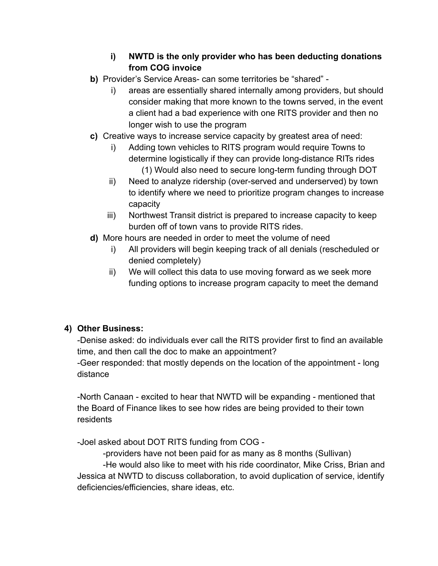### **i) NWTD is the only provider who has been deducting donations from COG invoice**

- **b)** Provider's Service Areas- can some territories be "shared"
	- i) areas are essentially shared internally among providers, but should consider making that more known to the towns served, in the event a client had a bad experience with one RITS provider and then no longer wish to use the program
- **c)** Creative ways to increase service capacity by greatest area of need:
	- i) Adding town vehicles to RITS program would require Towns to determine logistically if they can provide long-distance RITs rides (1) Would also need to secure long-term funding through DOT
	- ii) Need to analyze ridership (over-served and underserved) by town to identify where we need to prioritize program changes to increase capacity
	- iii) Northwest Transit district is prepared to increase capacity to keep burden off of town vans to provide RITS rides.
- **d)** More hours are needed in order to meet the volume of need
	- i) All providers will begin keeping track of all denials (rescheduled or denied completely)
	- ii) We will collect this data to use moving forward as we seek more funding options to increase program capacity to meet the demand

## **4) Other Business:**

-Denise asked: do individuals ever call the RITS provider first to find an available time, and then call the doc to make an appointment?

-Geer responded: that mostly depends on the location of the appointment - long distance

-North Canaan - excited to hear that NWTD will be expanding - mentioned that the Board of Finance likes to see how rides are being provided to their town residents

-Joel asked about DOT RITS funding from COG -

-providers have not been paid for as many as 8 months (Sullivan)

-He would also like to meet with his ride coordinator, Mike Criss, Brian and Jessica at NWTD to discuss collaboration, to avoid duplication of service, identify deficiencies/efficiencies, share ideas, etc.